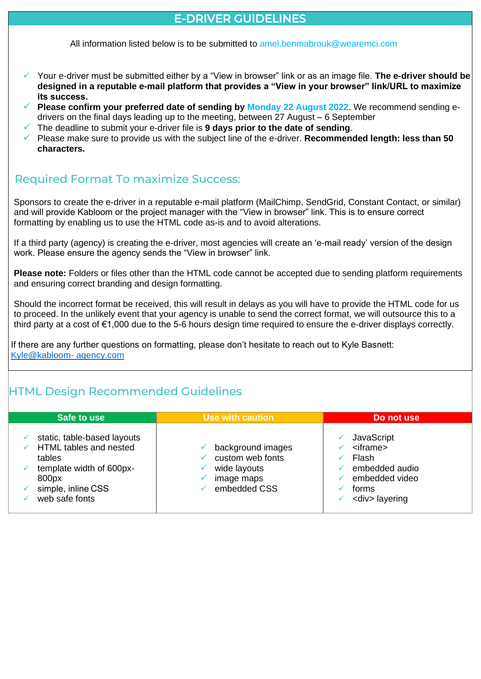### E-DRIVER GUIDELINES

All information listed below is to be submitted to amel. benmabrouk@wearemci.com

- ✓ Your e-driver must be submitted either by a "View in browser" link or as an image file. **The e-driver should be designed in a reputable e-mail platform that provides a "View in your browser" link/URL to maximize its success.**
- **Please confirm your preferred date of sending by Monday 22 August 2022.** We recommend sending edrivers on the final days leading up to the meeting, between 27 August – 6 September
- The deadline to submit your e-driver file is 9 days prior to the date of sending.
- ✓ Please make sure to provide us with the subject line of the e-driver. **Recommended length: less than 50 characters.**

# Required Format To maximize Success:

Sponsors to create the e-driver in a reputable e-mail platform (MailChimp, SendGrid, Constant Contact, or similar) and will provide Kabloom or the project manager with the "View in browser" link. This is to ensure correct formatting by enabling us to use the HTML code as-is and to avoid alterations.

If a third party (agency) is creating the e-driver, most agencies will create an 'e-mail ready' version of the design work. Please ensure the agency sends the "View in browser" link.

**Please note:** Folders or files other than the HTML code cannot be accepted due to sending platform requirements and ensuring correct branding and design formatting.

Should the incorrect format be received, this will result in delays as you will have to provide the HTML code for us to proceed. In the unlikely event that your agency is unable to send the correct format, we will outsource this to a third party at a cost of €1,000 due to the 5-6 hours design time required to ensure the e-driver displays correctly.

If there are any further questions on formatting, please don't hesitate to reach out to Kyle Basnett: [Kyle@kabloom-](mailto:Kyle@kabloom-agency.com) agency.com

# HTML Design Recommended Guidelines

| Safe to use                                                                                                                                  | Use with caution                                                                    | Do not use                                                                                                       |
|----------------------------------------------------------------------------------------------------------------------------------------------|-------------------------------------------------------------------------------------|------------------------------------------------------------------------------------------------------------------|
| static, table-based layouts<br>HTML tables and nested<br>tables<br>template width of 600px-<br>800px<br>simple, inline CSS<br>web safe fonts | background images<br>custom web fonts<br>wide layouts<br>image maps<br>embedded CSS | JavaScript<br>$\leq$ iframe $\geq$<br>Flash<br>embedded audio<br>embedded video<br>forms<br><div> layering</div> |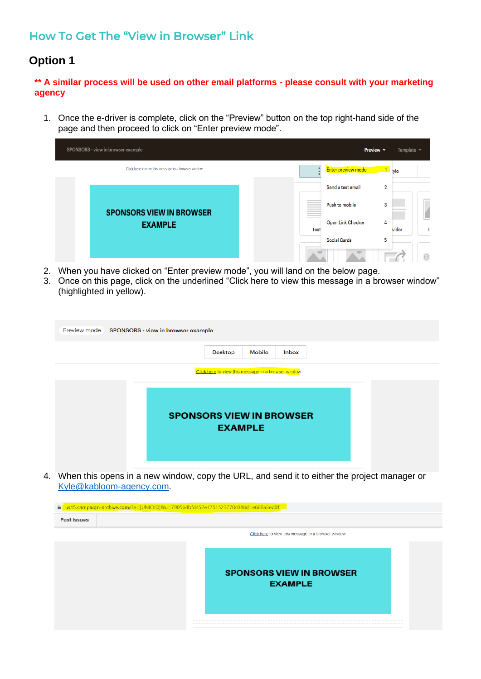# How To Get The "View in Browser" Link

### **Option 1**

**\*\* A similar process will be used on other email platforms - please consult with your marketing agency**

1. Once the e-driver is complete, click on the "Preview" button on the top right-hand side of the page and then proceed to click on "Enter preview mode".

|                                 | SPONSORS - view in browser example                  |                          | Preview Y                           | Template v      |
|---------------------------------|-----------------------------------------------------|--------------------------|-------------------------------------|-----------------|
|                                 | Click here to view this message in a browser window |                          | Enter preview mode                  | $1$ yle         |
|                                 |                                                     |                          | Send a test email<br>$\overline{2}$ |                 |
| <b>SPONSORS VIEW IN BROWSER</b> |                                                     | Push to mobile<br>3      |                                     |                 |
|                                 | <b>EXAMPLE</b>                                      | <b>Text</b>              | Open Link Checker<br>4              | vider<br>h.     |
|                                 |                                                     | <b>Social Cards</b><br>5 |                                     |                 |
|                                 |                                                     |                          |                                     | $\boxed{\circ}$ |

- 2. When you have clicked on "Enter preview mode", you will land on the below page.
- 3. Once on this page, click on the underlined "Click here to view this message in a browser window" (highlighted in yellow).

| Preview mode SPONSORS - view in browser example           |
|-----------------------------------------------------------|
| Desktop<br>Mobile<br>Inbox                                |
| Click here to view this message in a browser window       |
| <b>SPONSORS VIEW IN BROWSER</b><br><b>EXAMPLE</b><br>---- |

4. When this opens in a new window, copy the URL, and send it to either the project manager or [Kyle@kabloom-agency.com.](mailto:Kyle@kabloom-agency.com)

| a us15.campaign-archive.com/?e=[UNIQID]&u=790564bfd452e1751523770c0&id=e668a3ed0f<br>Past Issues |                                                     |
|--------------------------------------------------------------------------------------------------|-----------------------------------------------------|
|                                                                                                  | Click here to view this message in a browser window |
|                                                                                                  |                                                     |
|                                                                                                  | <b>SPONSORS VIEW IN BROWSER</b><br><b>EXAMPLE</b>   |
|                                                                                                  |                                                     |
|                                                                                                  |                                                     |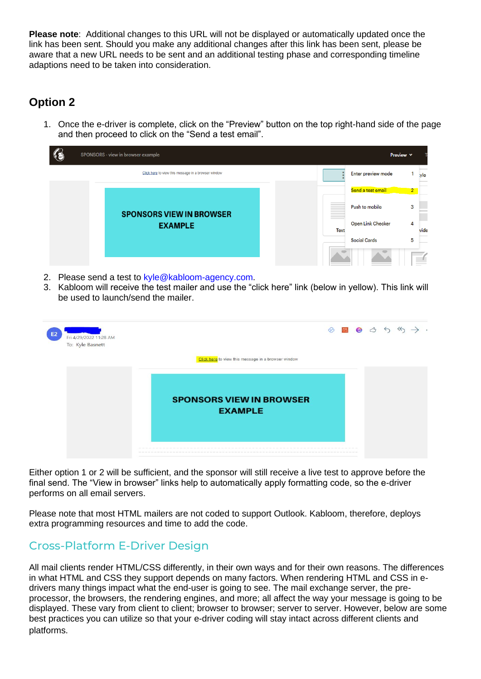**Please note**: Additional changes to this URL will not be displayed or automatically updated once the link has been sent. Should you make any additional changes after this link has been sent, please be aware that a new URL needs to be sent and an additional testing phase and corresponding timeline adaptions need to be taken into consideration.

# **Option 2**

1. Once the e-driver is complete, click on the "Preview" button on the top right-hand side of the page and then proceed to click on the "Send a test email".



- 2. Please send a test to [kyle@kabloom-agency.com.](mailto:kyle@kabloom-agency.com)
- 3. Kabloom will receive the test mailer and use the "click here" link (below in yellow). This link will be used to launch/send the mailer.

| E <sub>2</sub><br>Fri 4/29/2022 11:28 AM<br>To: Kyle Basnett |                                                                                                                                                       | <sup>⊘</sup> |  | 同日 | $\leftrightarrow$ |  |  |
|--------------------------------------------------------------|-------------------------------------------------------------------------------------------------------------------------------------------------------|--------------|--|----|-------------------|--|--|
|                                                              | Click here to view this message in a browser window                                                                                                   |              |  |    |                   |  |  |
|                                                              | <b>SPONSORS VIEW IN BROWSER</b><br><b>EXAMPLE</b>                                                                                                     |              |  |    |                   |  |  |
|                                                              | bott best was<br>and the last this day has been below and the this team and has been contract that they want best was over their contracts below been |              |  |    |                   |  |  |

Either option 1 or 2 will be sufficient, and the sponsor will still receive a live test to approve before the final send. The "View in browser" links help to automatically apply formatting code, so the e-driver performs on all email servers.

Please note that most HTML mailers are not coded to support Outlook. Kabloom, therefore, deploys extra programming resources and time to add the code.

### Cross-Platform E-Driver Design

All mail clients render HTML/CSS differently, in their own ways and for their own reasons. The differences in what HTML and CSS they support depends on many factors. When rendering HTML and CSS in edrivers many things impact what the end-user is going to see. The mail exchange server, the preprocessor, the browsers, the rendering engines, and more; all affect the way your message is going to be displayed. These vary from client to client; browser to browser; server to server. However, below are some best practices you can utilize so that your e-driver coding will stay intact across different clients and platforms.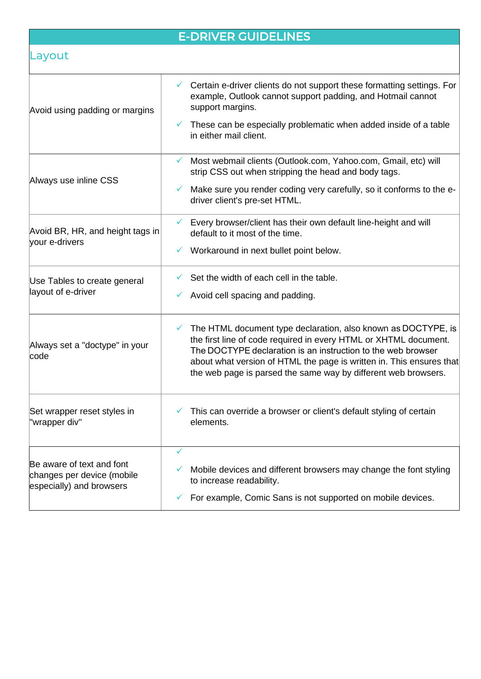# E-DRIVER GUIDELINES

# Layout

| Certain e-driver clients do not support these formatting settings. For<br>example, Outlook cannot support padding, and Hotmail cannot<br>These can be especially problematic when added inside of a table                                                                                                                                   |
|---------------------------------------------------------------------------------------------------------------------------------------------------------------------------------------------------------------------------------------------------------------------------------------------------------------------------------------------|
| Most webmail clients (Outlook.com, Yahoo.com, Gmail, etc) will<br>strip CSS out when stripping the head and body tags.                                                                                                                                                                                                                      |
| Make sure you render coding very carefully, so it conforms to the e-<br>driver client's pre-set HTML.                                                                                                                                                                                                                                       |
| Every browser/client has their own default line-height and will<br>default to it most of the time.                                                                                                                                                                                                                                          |
| Workaround in next bullet point below.                                                                                                                                                                                                                                                                                                      |
| Set the width of each cell in the table.<br>Avoid cell spacing and padding.                                                                                                                                                                                                                                                                 |
| The HTML document type declaration, also known as DOCTYPE, is<br>the first line of code required in every HTML or XHTML document.<br>The DOCTYPE declaration is an instruction to the web browser<br>about what version of HTML the page is written in. This ensures that<br>the web page is parsed the same way by different web browsers. |
| This can override a browser or client's default styling of certain                                                                                                                                                                                                                                                                          |
| Mobile devices and different browsers may change the font styling<br>For example, Comic Sans is not supported on mobile devices.                                                                                                                                                                                                            |
|                                                                                                                                                                                                                                                                                                                                             |